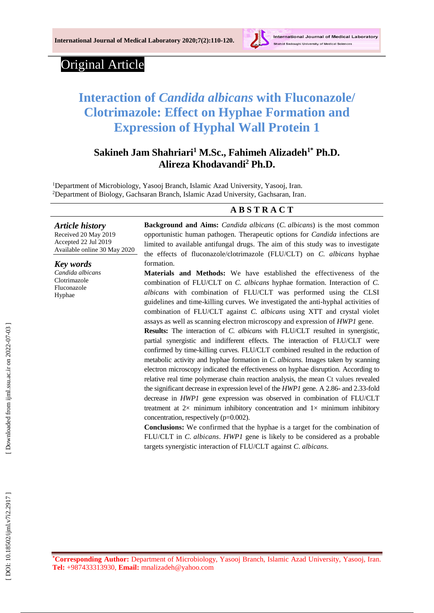

# Original Article

# **Interaction of** *Candida albicans* **with Fluconazole/ Clotrimazole: Effect on Hyphae Formation and Expression of Hyphal Wall Protein 1**

# **Sakineh Jam Shahriari <sup>1</sup> M.Sc., Fahimeh Alizadeh 1 \* Ph.D. Alireza Khodavandi <sup>2</sup> Ph.D.**

<sup>1</sup>Department of Microbiology, Yasooj Branch, Islamic Azad University, Yasooj, Iran. <sup>2</sup>Department of Biology, Gachsaran Branch, Islamic Azad University, Gachsaran, Iran.

#### **A B S T R A C T**

*Article history*

Received 2 0 May 201 9 Accepted 2 2 Jul 201 9 Available online 30 May 2020

*Key words*

*Candida albicans* Clotrimazole Fluconazole Hyphae

**Background and Aims:** *Candida albicans* (*C. albicans*) is the most common opportunistic human pathogen. Therapeutic options for *Candida* infections are limited to available antifungal drugs. The aim of this study was to investigate the effects of fluconazole/clotrimazole (FLU/CLT) on *C. albicans* hyphae formation.

**Materials and Methods:** We have established the effectiveness of the combination of FLU/CLT on *C. albicans* hyphae formation. Interaction of *C. albicans* with combination of FLU/CLT was performed using the CLSI guidelines and time -killing curves *.* We investigated the anti -hyphal activities of combination of FLU/CLT against *C. albicans* using XTT and crystal violet assays as well as scanning electron microscopy and expression of *HWP1* gene.

**Results:** The interaction of *C. albicans* with FLU/CLT resulted in synergistic, partial synergistic and indifferent effects. The interaction of FLU/CLT were confirmed by time -killing curves. FLU/CLT combined resulted in the reduction of metabolic activity and hyphae formation in *C. albicans*. Images taken by scanning electron microscopy indicated the effectiveness on hyphae disruption. According to relative real time polymerase chain reaction analysis, the mean Ct values revealed the significant decrease in expression level of the *HWP1* gene. A 2.86- and 2.33-fold decrease in *HWP1* gene expression was observed in combination of FLU/CLT treatment at  $2\times$  minimum inhibitory concentration and  $1\times$  minimum inhibitory concentration, respectively ( p=0.00 2).

**Conclusions:** We confirmed that the hyphae is a target for the combination of FLU/CLT in *C. albicans* . *HWP1* gene is likely to be considered as a probable targets synergistic interaction of FLU/CLT against *C* . *albicans.*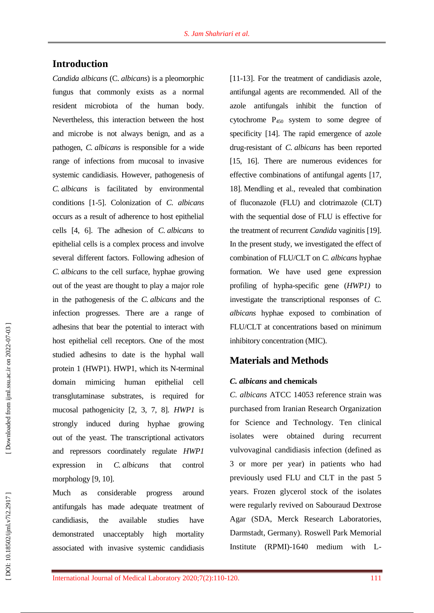## **Introduction**

*Candida albicans* (C. *albicans*) is a pleomorphic fungus that commonly exists as a normal resident microbiota of the human body. Nevertheless, this interaction between the host and microbe is not always benign, and as a pathogen, *C. albicans* is responsible for a wide range of infections from mucosal to invasive systemic candidiasis. However, pathogenesis of *C. albicans* is facilitated by environmental conditions [ 1 -5]. Colonization of *C. albicans* occurs as a result of adherence to host epithelial cells [4, 6]. The adhesion of *C. albicans* to epithelial cells is a complex process and involve several different factors. Following adhesion of *C. albicans* to the cell surface, hyphae growing out of the yeast are thought to play a major role in the pathogenesis of the *C. albicans* and the infection progresses. There are a range of adhesins that bear the potential to interact with host epithelial cell receptors. One of the most studied adhesins to date is the hyphal wall protein 1 (HWP1). HWP1, which its N -terminal domain mimicing human epithelial cell transglutaminase substrates, is required for mucosal pathogenicity [2, 3, 7, 8]. *HWP1* is strongly induced during hyphae growing out of the yeast. The transcriptional activators and repressors coordinately regulate *HWP1* expression in *C. albicans* that control morphology [9, 10].

Much as considerable progress around antifungal s has made adequate treatment of candidiasis, the available studies have demonstrated unacceptably high mortality associated with invasive systemic candidiasis

[11-13]. For the treatment of candidiasis azole, antifungal agents are recommended. All of the azole antifungals inhibit the function of cytochrome P<sup>450</sup> system to some degree of specificity [14]. The rapid emergence of azole drug -resistant of *C. albicans* has been reported [15, 16]. There are numerous evidence s for effective combinations of antifungal agents [17, 18]. Mendling et al., revealed that combination of fluconazole (FLU) and clotrimazole (CLT) with the sequential dose of FLU is effective for the treatment of recurrent *Candida* vaginitis [19]. In the present study, we investigated the effect of combination of FLU/CLT on *C. albicans* hyphae formation. We have used gene expression profiling of hypha -specific gene (*HWP1)* to investigate the transcriptional responses of *C. albicans* hyphae exposed to combination of FLU/CLT at concentrations based on minimum inhibitory concentration (MIC).

## **Materials and Methods**

### *C. albicans* **and chemicals**

*C. albicans* ATCC 14053 reference strain was purchased from Iranian Research Organization for Science and Technology. Ten clinical isolates were obtained during recurrent vulvovaginal candidiasis infection (defined as 3 or more per year) in patients who had previously used FLU and CLT in the past 5 years. Frozen glycerol stock of the isolates were regularly revived on Sabouraud Dextrose Agar (SDA, Merck Research Laboratories, Darmstadt, Germany ) . Roswell Park Memorial Institute (RPMI) -1640 medium with L -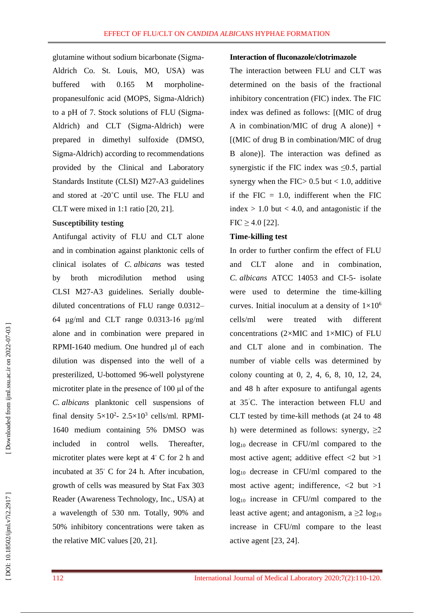glutamine without sodium bicarbonate (Sigma - Aldrich Co. St. Louis, MO, USA) was buffered with 0.165 M morpholine propanesulfonic acid (MOPS, Sigma -Aldrich) to a pH of 7. Stock solutions of FLU (Sigma - Aldrich) and CLT (Sigma -Aldrich) were prepared in dimethyl sulfoxide (DMSO, Sigma -Aldrich) according to recommendations provided by the Clinical and Laboratory Standards Institute (CLSI) M27 -A3 guidelines and stored at -20°C until use. The FLU and CLT were mixed in 1:1 ratio [20, 21].

#### **Susceptibility testing**

Antifungal activity of FLU and CLT alone and in combination against planktonic cells of clinical isolates of *C. albicans* was tested by broth microdilution method using CLSI M27 -A3 guidelines. Serially double diluted concentrations of FLU range 0.0312 – 64 μg/ml and CLT range 0.0313 -16 μg/ml alone and in combination were prepare d in RPMI -1640 medium. One hundred μl of each dilution was dispensed into the well of a presterilized, U -bottomed 96 -well polystyrene microtiter plate in the presence of 100 μl of the *C. albicans* planktonic cell suspensions of final density  $5 \times 10^2$ -  $2.5 \times 10^3$  cells/ml. RPMI-1640 medium containing 5% DMSO was included in control wells. Thereafter microtiter plates were kept at  $4^{\circ}$  C for 2 h and incubated at 35 ◦ C for 24 h *.* After incubation, growth of cells was measured by Stat Fax 303 Reader (Awareness Technology, Inc., USA ) at a wavelength of 530 nm. Totally, 90% and 50% inhibitory concentrations were taken as the relative MIC values [20, 21].

#### **Interaction of fluconazole/clotrimazole**

The interaction between FLU and CLT was determined on the basis of the fractional inhibitory concentration (FIC) index. The FIC index was defined as follows: [(MIC of drug A in combination/MIC of drug A alone)] + [(MIC of drug B in combination/MIC of drug B alone)]. The interaction was defined as synergistic if the FIC index was  $\leq 0.5$ , partial synergy when the FIC  $> 0.5$  but  $< 1.0$ , additive if the FIC  $= 1.0$ , indifferent when the FIC index  $> 1.0$  but  $< 4.0$ , and antagonistic if the  $FIC \geq 4.0$  [22].

#### **Time -killing test**

In order to further confirm the effect of FLU and CLT alone and in combination, *C. albicans* ATCC 14053 and CI - 5 - isolate were used to determine the time -killing curves. Initial inoculum at a density of  $1\times10^6$ cells/ml were treated with different concentrations  $(2\times MIC$  and  $1\times MIC$ ) of FLU and CLT alone and in combination . The number of viable cells was determined by colony counting at 0, 2, 4, 6, 8, 10, 12, 24, and 48 h after exposure to antifungal agents at 35 ˚C. The interaction between FLU and CLT tested by time -kill methods (at 24 to 48 h) were determined as follows: synergy,  $\geq 2$  $log_{10}$  decrease in CFU/ml compared to the most active agent; additive effect  $\langle 2 \text{ but } \rangle$ 1  $log_{10}$  decrease in CFU/ml compared to the most active agent; indifference,  $\langle 2 \text{ but } \rangle$ 1 log<sup>10</sup> increase in CFU/ml compared to the least active agent; and [antagonism,](https://www.omicsonline.org/searchresult.php?keyword=Antagonism)  $a \geq 2 \log_{10}$ increase in CFU/ml compare to the least active agent [23, 24].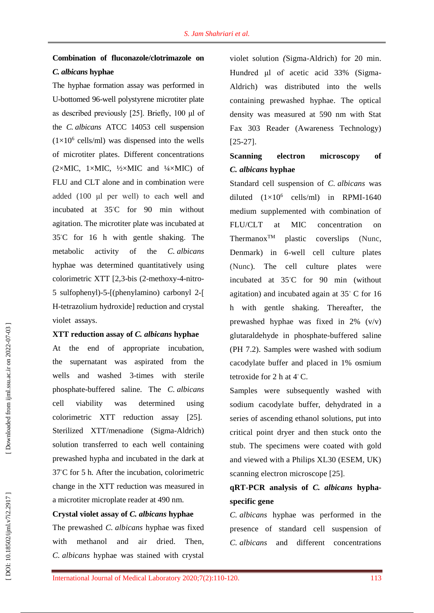# **Combination of fluconazole/clotrimazole on**  *C. albicans* **hyphae**

The hyphae formation assay was performed in U-bottomed 96-well polystyrene microtiter plate as described previously [25]. Briefly, 100 μl of the *C. albicans* ATCC 14053 cell suspension  $(1\times10^6 \text{ cells/ml})$  was dispensed into the wells of microtiter plates. Different concentrations  $(2\times MIC, 1\times MIC, 1/2\times MIC, and 1/4\times MIC)$  of FLU and CLT alone and in combination were added (100 μl per well) to each well and incubated at 35 ◦C for 90 min without agitation. The microtiter plate was incubated at 35 ◦C for 16 h with gentle shaking . The metabolic activity of the *C. albicans*  hyphae was determined quantitatively using colorimetric XTT [2,3-bis (2-methoxy-4-nitro-5 sulfophenyl)-5-[(phenylamino) carbonyl 2-[ H -tetrazolium hydroxide] reduction and crystal violet assays.

#### **XTT reduction assay of** *C. albicans* **hyphae**

At the end of appropriate incubation, the supernatant was aspirated from the wells and washed 3 -times with sterile phosphate -buffered saline. The *C. albicans* cell viability was determined using colorimetric XTT reduction assay [25]. Sterilized XTT/menadione (Sigma -Aldrich) solution transferred to each well containing prewashed hypha and incubated in the dark at 37 ◦C for 5 h *.* After the incubation, colorimetric change in the XTT reduction was measured in a microtiter microplate reader at 490 nm.

#### **Crystal violet assay of** *C. albicans* **hyphae**

The prewashed *C. albicans* hyphae was fixed with methanol and air dried. Then, *C. albicans* hyphae was stained with crystal violet solution *(*Sigma -Aldrich) for 20 min. Hundred μl of acetic acid 33% (Sigma-Aldrich) was distributed into the wells containing prewashed hyphae. The optical density was measured at 590 nm with Stat Fax 303 Reader (Awareness Technology)  $[25-27]$ .

# **Scanning electron microscopy of**  *C. albicans* **hyphae**

Standard cell suspension of *C. albicans* was diluted  $(1 \times 10^6 \text{ cells/ml})$  in RPMI-1640 medium supplemented with combination of FLU/CLT at MIC concentration on Thermanox<sup>TM</sup> plastic coverslips (Nunc, Denmark) in 6 -well cell culture plates (Nunc). The cell culture plates were incubated at 35 ◦C for 90 min (without agitation) and incubated again at 35 ◦ C for 16 h with gentle shaking. Thereafter, the prewashed hyphae was fixed in 2% (v/v) glutaraldehyde in phosphate -buffered saline (PH 7.2). Samples were washed with sodium cacodylate buffer and placed in 1% osmium tetroxide for 2 h at  $4^{\circ}$  C.

Samples were subsequently washed with sodium cacodylate buffer, dehydrated in a series of ascending ethanol solutions, put into critical point dryer and then stuck onto the stub. The specimens were coated with gold and viewed with a Philips XL30 (ESEM, UK) scanning electron microscope [25] .

# **qRT -PCR analysis of** *C. albicans* **hypha specific gen e**

*C. albicans* hyphae was performed in the presence of standard cell suspension of *C. albicans* and different concentrations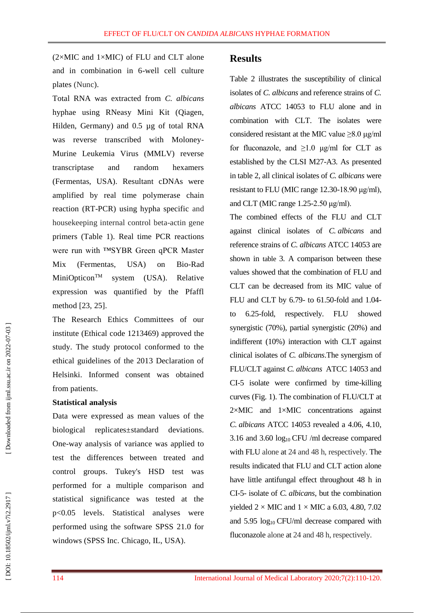$(2\times$ MIC and  $1\times$ MIC) of FLU and CLT alone and in combination in 6 -well cell culture plates (Nunc).

Total RNA was extracted from *C. albicans* hyphae using RNeasy Mini Kit (Qiagen, Hilden, Germany) and 0.5 µg of total RNA was reverse transcribed with Moloney - Murine Leukemia Virus (MMLV) reverse transcriptase and random hexamers (Fermentas, USA). Resultant cDNAs were amplified by real time polymerase chain reaction (RT -PCR) using hypha specific and housekeeping internal control beta -actin gene primers (Table 1). Real time PCR reactions were run with ™SYBR Green qPCR Master Mix (Fermentas, USA) on Bio-Rad MiniOpticon<sup>TM</sup> system (USA). Relative expression was quantified by the Pfaffl method [23, 25].

The Research Ethics Committees of our institute (Ethical code 1213469) approved the study. The study protocol conformed to the ethical guidelines of the 2013 Declaration of Helsinki. Informed consent was obtained from patients.

#### **Statistical analysis**

Data were expressed as mean values of the biological replicates± deviations. One -way analysis of variance was applied to test the differences between treated and control groups. Tukey's HSD test was performed for a multiple comparison and statistical significance was tested at the p<0.05 levels. Statistical analyses were performed using the software SPSS 21.0 for windows (SPSS Inc. Chicago, IL, USA).

#### **Results**

Table 2 illustrates the susceptibility of clinical isolates of *C. albicans* and reference strains of *C. albicans* ATCC 14053 to FLU alone and in combination with CLT. The isolates were considered resistant at the MIC value  $\geq$ 8.0 μg/ml for fluconazole, and  $\geq 1.0$  μg/ml for CLT as established by the CLSI M27 -A3. As presented in table 2, all clinical isolates of *C. albicans* were resistant to FLU (MIC range 12.30 -18.90 μg/ml), and CLT (MIC range 1.25 -2.50 μg/ml).

The combined effects of the FLU and CLT against clinical isolates of *C. albicans* and reference strains of *C. albicans* ATCC 14053 are shown in table 3. A comparison between these values showed that the combination of FLU and CLT can be decreased from its MIC value of FLU and CLT by 6.79- to 61.50-fold and 1.04to 6.25 -fold, respectively. FLU showed synergistic (70%), partial synergistic (20%) and indifferent (10%) interaction with CLT against clinical isolates of *C. albicans* .The synergism of FLU/CLT against *C. albicans* ATCC 14053 and CI -5 isolate were confirmed by time -killing curves [\(Fig.](http://aac.asm.org/content/60/10/6179.full#F2) 1). The combination of FLU/CLT at 2 ×MIC and 1 ×MIC concentrations against *C. albicans* ATCC 14053 revealed a 4.06, 4.10, 3.16 and 3.60 log<sup>10</sup> CFU /ml decrease compared with FLU alone at 24 and 48 h, respectively. The results indicated that FLU and CLT action alone have little antifungal effect throughout 48 h in CI - 5 - isolate of *C. albicans*, but the combination yielded  $2 \times$  MIC and  $1 \times$  MIC a 6.03, 4.80, 7.02 and 5.95 log<sub>10</sub> CFU/ml decrease compared with fluconazole alone at 24 and 48 h, respectively.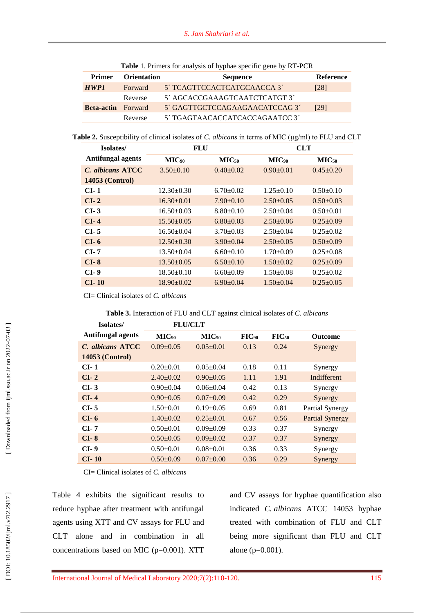| <b>Primer</b>     | <b>Orientation</b> | <b>Sequence</b>                | <b>Reference</b> |  |  |
|-------------------|--------------------|--------------------------------|------------------|--|--|
| HWP1              | Forward            | 5' TCAGTTCCACTCATGCAACCA 3'    | [28]             |  |  |
|                   | Reverse            | 5' AGCACCGAAAGTCAATCTCATGT 3'  |                  |  |  |
| <b>Beta-actin</b> | <b>Forward</b>     | 5' GAGTTGCTCCAGAAGAACATCCAG 3' | [29]             |  |  |
|                   | Reverse            | 5' TGAGTAACACCATCACCAGAATCC 3' |                  |  |  |

**Table** 1. Primers for analysis of hyphae specific gene by RT -PCR

**Table 2.** Susceptibility of clinical isolates of *C. albicans* in terms of MIC (μg/ml) to FLU and CLT

| Isolates/                | <b>FLU</b>        |                   | <b>CLT</b>        |                   |  |  |
|--------------------------|-------------------|-------------------|-------------------|-------------------|--|--|
| <b>Antifungal agents</b> | MIC <sub>90</sub> | MIC <sub>50</sub> | MIC <sub>90</sub> | MIC <sub>50</sub> |  |  |
| C. albicans ATCC         | $3.50+0.10$       | $0.40 + 0.02$     | $0.90+0.01$       | $0.45+0.20$       |  |  |
| <b>14053 (Control)</b>   |                   |                   |                   |                   |  |  |
| $CL-1$                   | $12.30 \pm 0.30$  | $6.70 \pm 0.02$   | $1.25 \pm 0.10$   | $0.50+0.10$       |  |  |
| $CI-2$                   | $16.30\pm0.01$    | $7.90+0.10$       | $2.50+0.05$       | $0.50 \pm 0.03$   |  |  |
| $CL-3$                   | $16.50 \pm 0.03$  | $8.80+0.10$       | $2.50+0.04$       | $0.50+0.01$       |  |  |
| $CI-4$                   | $15.50 \pm 0.05$  | $6.80+0.03$       | $2.50\pm0.06$     | $0.25 \pm 0.09$   |  |  |
| $CI-5$                   | $16.50 \pm 0.04$  | $3.70 \pm 0.03$   | $2.50+0.04$       | $0.25 \pm 0.02$   |  |  |
| CI- 6                    | $12.50 \pm 0.30$  | $3.90 \pm 0.04$   | $2.50+0.05$       | $0.50 \pm 0.09$   |  |  |
| CI- 7                    | $13.50 \pm 0.04$  | $6.60 \pm 0.10$   | $1.70 \pm 0.09$   | $0.25 \pm 0.08$   |  |  |
| $CI-8$                   | $13.50 \pm 0.05$  | $6.50\pm0.10$     | $1.50+0.02$       | $0.25 \pm 0.09$   |  |  |
| $CI-9$                   | $18.50 \pm 0.10$  | $6.60 \pm 0.09$   | $1.50 \pm 0.08$   | $0.25 \pm 0.02$   |  |  |
| $CI-10$                  | $18.90 \pm 0.02$  | $6.90 \pm 0.04$   | $1.50 \pm 0.04$   | $0.25 \pm 0.05$   |  |  |

CI= Clinical isolates of *C. albicans*

| Isolates/                | <b>FLU/CLT</b>    |                   |       |                   |                        |
|--------------------------|-------------------|-------------------|-------|-------------------|------------------------|
| <b>Antifungal agents</b> | MIC <sub>90</sub> | MIC <sub>50</sub> | FIG00 | FIG <sub>50</sub> | <b>Outcome</b>         |
| C. albicans ATCC         | $0.09 + 0.05$     | $0.05 \pm 0.01$   | 0.13  | 0.24              | Synergy                |
| <b>14053 (Control)</b>   |                   |                   |       |                   |                        |
| CI- 1                    | $0.20+0.01$       | $0.05 \pm 0.04$   | 0.18  | 0.11              | Synergy                |
| $CI-2$                   | $2.40+0.02$       | $0.90 + 0.05$     | 1.11  | 1.91              | Indifferent            |
| $CI-3$                   | $0.90 \pm 0.04$   | $0.06 \pm 0.04$   | 0.42  | 0.13              | Synergy                |
| $CI-4$                   | $0.90 + 0.05$     | $0.07+0.09$       | 0.42  | 0.29              | Synergy                |
| $CI-5$                   | $1.50+0.01$       | $0.19 \pm 0.05$   | 0.69  | 0.81              | Partial Synergy        |
| $CI-6$                   | $1.40+0.02$       | $0.25 + 0.01$     | 0.67  | 0.56              | <b>Partial Synergy</b> |
| $CI-7$                   | $0.50+0.01$       | $0.09 + 0.09$     | 0.33  | 0.37              | Synergy                |
| $CI-8$                   | $0.50 \pm 0.05$   | $0.09 + 0.02$     | 0.37  | 0.37              | Synergy                |
| $CI-9$                   | $0.50+0.01$       | $0.08 + 0.01$     | 0.36  | 0.33              | Synergy                |
| $CI-10$                  | $0.50+0.09$       | $0.07 \pm 0.00$   | 0.36  | 0.29              | Synergy                |

CI= Clinical isolates of *C. albicans*

Table 4 exhibits the significant results to reduce hyphae after treatment with antifungal agents using XTT and CV assays for FLU and CLT alone and in combination in all concentrations based on MIC ( p=0.001). XTT and CV assays for hyphae quantification also indicated *C. albicans* ATCC 14053 hyphae treated with combination of FLU and CLT being more significant than FLU and CLT alone ( p=0.001).

[DOI: 10.18502/ijml.v7i2.2917]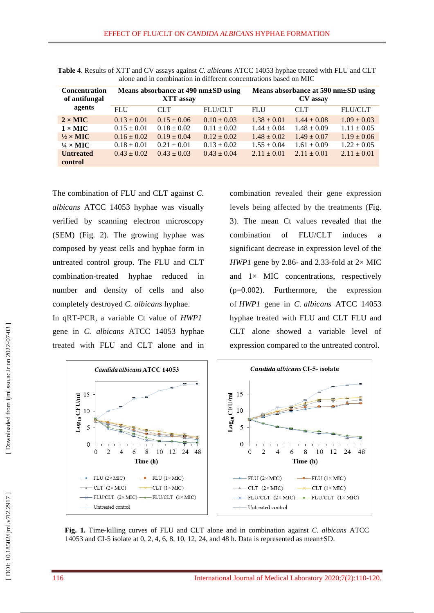| <b>Concentration</b><br>of antifungal | Means absorbance at 490 nm±SD using<br>XTT assay |                 |                 | Means absorbance at 590 nm $\pm$ SD using<br>CV assay |                 |                 |
|---------------------------------------|--------------------------------------------------|-----------------|-----------------|-------------------------------------------------------|-----------------|-----------------|
| agents                                | <b>FLU</b>                                       | CLT.            | <b>FLU/CLT</b>  | <b>FLU</b>                                            | <b>CLT</b>      | <b>FLU/CLT</b>  |
| $2 \times$ MIC                        | $0.13 \pm 0.01$                                  | $0.15 \pm 0.06$ | $0.10 \pm 0.03$ | $1.38 \pm 0.01$                                       | $1.44 \pm 0.08$ | $1.09 \pm 0.03$ |
| $1 \times$ MIC                        | $0.15 \pm 0.01$                                  | $0.18 \pm 0.02$ | $0.11 \pm 0.02$ | $1.44 \pm 0.04$                                       | $1.48 \pm 0.09$ | $1.11 \pm 0.05$ |
| $\frac{1}{2} \times$ MIC              | $0.16 \pm 0.02$                                  | $0.19 \pm 0.04$ | $0.12 \pm 0.02$ | $1.48 \pm 0.02$                                       | $1.49 \pm 0.07$ | $1.19 \pm 0.06$ |
| $\frac{1}{4} \times$ MIC              | $0.18 \pm 0.01$                                  | $0.21 \pm 0.01$ | $0.13 \pm 0.02$ | $1.55 \pm 0.04$                                       | $1.61 \pm 0.09$ | $1.22 \pm 0.05$ |
| <b>Untreated</b>                      | $0.43 \pm 0.02$                                  | $0.43 \pm 0.03$ | $0.43 \pm 0.04$ | $2.11 + 0.01$                                         | $2.11 + 0.01$   | $2.11 \pm 0.01$ |
| control                               |                                                  |                 |                 |                                                       |                 |                 |

**Table 4**. Results of XTT and CV assays against *C. albicans* ATCC 14053 hyphae treated with FLU and CLT alone and in combination in different concentrations based on MIC

The combination of FLU and CLT against *C. albicans* ATCC 14053 hyphae was visually verified by scanning electron microscopy (SEM) (Fig. 2). The growing hyphae was composed by yeast cells and hyphae form in untreated control group. The FLU and CLT combination -treated hyphae reduced in number and density of cells and also completely destroyed *C. albicans* hyphae .

In qRT -PCR, a variable Ct value of *HWP1* gene in *C. albicans* ATCC 14053 hyphae treated with FLU and CLT alone and in combination revealed their gene expression levels being affected by the treatments (Fig. 3). The mean Ct values revealed that the combination of FLU/CLT induces a significant decrease in expression level of the *HWP1* gene by 2.86- and 2.33-fold at  $2 \times$  MIC and 1 $\times$  MIC concentrations, respectively (p=0.002). Furthermore, the expression of *HWP1* gene in *C. albicans* ATCC 14053 hyphae treated with FLU and CLT FLU and CLT alone showed a variable level of expression compared to the untreated control.



**Fig. 1.** Time -killing curves of FLU and CLT alone and in combination against *C. albicans* ATCC 14053 and CI -5 isolate at 0, 2, 4, 6, 8, 10, 12, 24, and 48 h. Data is represented as mean ±SD.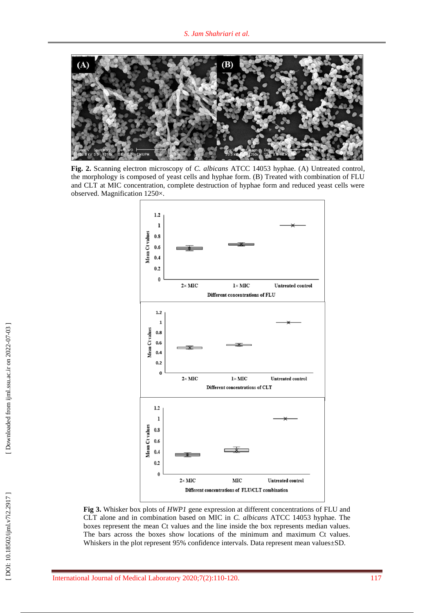

**Fig. 2.** Scanning electron microscopy of *C. albicans* ATCC 14053 hyphae. (A) Untreated control , the morphology is composed of yeast cells and hyphae form. (B) Treated with combination of FLU and CLT at MIC concentration, complete destruction of hyphae form and reduced yeast cells were observed. Magnification 1250×.



**Fig 3.** Whisker box plots of *HWP1* gene expression at different concentrations of FLU and CLT alone and in combination based on MIC in *C. albicans* ATCC 14053 hyphae. The boxes represent the mean Ct values and the line inside the box represents median values. The bars across the boxes show locations of the minimum and maximum Ct values. Whiskers in the plot represent 95% confidence intervals. Data represent mean values $\pm$ SD.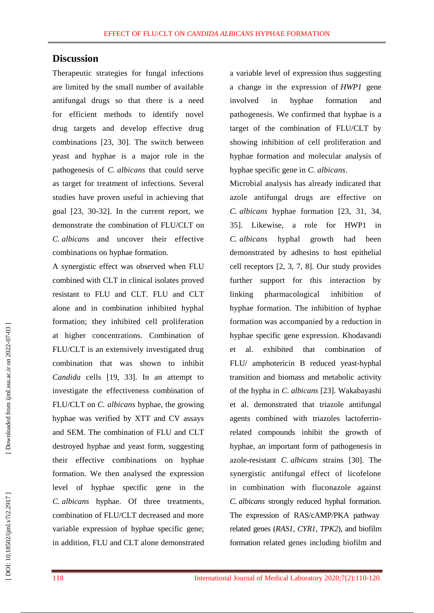## **Discussion**

Therapeutic strategies for fungal infections are limited by the small number of available antifungal drugs so that there is a need for efficient methods to identify novel drug targets and develop effective drug combinations [23, 30]. The switch between yeast and hyphae is a major role in the pathogenesis of *C. albicans* that could serve as target for treatment of infections. Several studies have proven useful in achieving that goal [23, 30 -32]. In the current report, we demonstrate the combination of FLU/CLT on *C. albicans* and uncover their effective combinations on hyphae formation.

A synergistic effect was observed when FLU combined with CLT in clinical isolates proved resistant to FLU and CLT. FLU and CLT alone and in combination inhibited hyphal formation; they inhibited cell proliferation at higher concentrations. Combination of FLU/CLT is an extensively investigated drug combination that was shown to inhibit *Candida* cells [19, 33]. In an attempt to investigate the effectiveness combination of FLU/CLT on *C. albicans* hyphae, the growing hyphae was verified by XTT and CV assays and SEM. The combination of FLU and CLT destroyed hyphae and yeast form, suggesting their effective combinations on hyphae formation. We then analysed the expression level of hyphae specific gene in the *C. albicans* hyphae. Of three treatments, combination of FLU/CLT decrease d and more variable expression of hyphae specific gene; in addition, FLU and CLT alone demonstrated

a variable level of expression thus suggesting a change in the expression of *HWP1* gene involved in hyphae formation and pathogenesis. We confirmed that hyphae is a target of the combination of FLU/CLT by showing inhibition of cell proliferation and hyphae formation and molecular analysis of hyphae specific gene in *C. albicans* .

Microbial analysis has already indicated that azole antifungal drugs are effective on *C. albicans* hyphae formation [23, 31, 34, 35]. Likewise, a role for HWP1 in *C. albicans* hyphal growth had been demonstrated by adhesins to host epithelial cell receptors [2, 3, 7, 8]. Our study provides further support for this interaction by linking pharmacological inhibition of hyphae formation. The inhibition of hyphae formation was accompanied by a reduction in hyphae specific gene expression. Khodavandi et al . exhibited that combination of FLU/ amphotericin B reduced yeast -hyphal transition and biomass and metabolic activity of the hypha in *C* . *albicans* [23]. Wakabayashi et al . demonstrated that triazole antifungal agents combined with triazoles lactoferrin related compounds inhibit the growth of hyphae, an important form of pathogenesis in azole -resistant *C. albicans* strains [30]. The synergistic antifungal effect of licofelone in combination with fluconazole against *C. albicans* strongly reduced hyphal formation. The expression of RAS/cAMP/PKA pathway related genes (*RAS1*, *CYR1*, *TPK2*), and biofilm formation related genes including biofilm and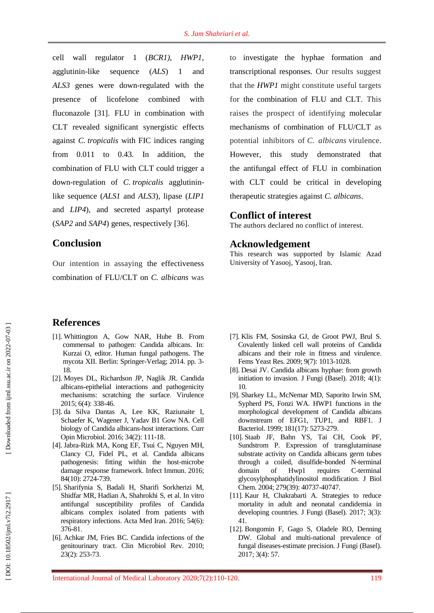cell wall regulator 1 (*BCR1)* , *HWP1* , agglutinin sequence  $(ALS)$  1 and *ALS3* genes were down -regulated with the presence of licofelone combined with fluconazole [31]. FLU in combination with CLT revealed significant synergistic effects against *C. tropicalis* with FIC indices ranging from 0.011 to 0.43 *.* In addition, the combination of FLU with CLT could trigger a down -regulation of *C. tropicalis* agglutinin like sequence (*ALS1* and *ALS3*), lipase (*LIP1* and *LIP4*), and secreted aspartyl protease (*SAP2* and *SAP4*) genes, respectively [36].

## **Conclusion**

Our intention in assaying the effectiveness combination of FLU/CLT on *C. albicans* was to investigate the hyphae formation and transcriptional responses. Our results suggest that the *HWP1* might constitute useful targets for the combination of FLU and CLT. This raises the prospect of identifying molecular mechanisms of combination of FLU/CLT as potential inhibitors of *C. albicans* virulence. However, this study demonstrated that the antifungal effect of FLU in combination with CLT could be critical in developing therapeutic strategies against *C. albicans* .

#### **Conflict of interest**

The authors declared no conflict of interest.

#### **Acknowledgement**

This research was supported by Islamic Azad University of Yasooj, Yasooj, Iran.

## **References**

- [1]. Whittington A, Gow NAR, Hube B. From commensal to pathogen: Candida albicans. In: Kurzai O, editor. Human fungal pathogens. The mycota XII. Berlin: Springer -Verlag; 2014. pp. 3 - 18.
- [ 2]. Moyes DL, Richardson JP, Naglik JR. Candida albicans -epithelial interactions and pathogenicity mechanisms: scratching the surface . Virulence 2015; 6(4): 338 -46.
- [ 3]. da Silva Dantas A, Lee KK, Raziunaite I, Schaefer K, Wagener J, Yadav B1 Gow NA. Cell biology of Candida albicans -host interactions . Curr Opin Microbiol. 2016; 34(2): 111-18.
- [ 4]. Jabra -Rizk MA, Kong EF, Tsui C, Nguyen MH, Clancy CJ, Fidel PL, et al. Candida albicans pathogenesis: fitting within the host -microbe damage response framework . Infect Immun . 2016; 84(10): 2724 - 739.
- [ 5]. Sharifynia S, Badali H, Sharifi Sorkherizi M, Shidfar MR, Hadian A, Shahrokhi S, et al. In vitro antifungal susceptibility profiles of Candida albicans complex isolated from patients with respiratory infections . Acta Med Iran . 2016; 54(6): 376 -81 .
- [ 6]. Achkar JM, Fries BC. Candida infections of the genitourinary tract. Clin Microbiol Rev . 2010; 23(2): 253 -73 .
- [ 7]. Klis FM, Sosinska GJ, de Groot PWJ, Brul S. Covalently linked cell wall proteins of Candida albicans and their role in fitness and virulence. Fem s Yeast Res . 2009; 9(7): 1013 -1028.
- [ 8]. Desai JV. Candida albicans hyphae: from growth initiation to invasion . J Fungi (Basel). 2018; 4(1): 10.
- [ 9]. Sharkey LL, McNemar MD, Saporito Irwin SM, Sypherd PS, Fonzi WA. HWP1 functions in the morphological development of Candida albicans downstream of EFG1, TUP1, and RBF1. J Bacteriol . 1999; 181(17): 5273 -279.
- [10]. Staab JF, Bahn YS, Tai CH, Cook PF, Sundstrom P. Expression of transglutaminase substrate activity on Candida albicans germ tubes through a coiled, disulfide -bonded N -terminal domain of Hwp1 requires -terminal glycosylphosphatidylinositol modification . J Biol Chem . 2004; 279(39): 40737 -40747.
- [11]. Kaur H, Chakrabarti A. Strategies to reduce mortality in adult and neonatal candidemia in developing countries . J Fungi (Basel). 2017; 3(3 ): 41.
- [12]. Bongomin F, Gago S, Oladele RO, Denning DW. Global and multi -national prevalence of fungal diseases -estimate precision. J Fungi (Basel). 2017; 3(4): 57.